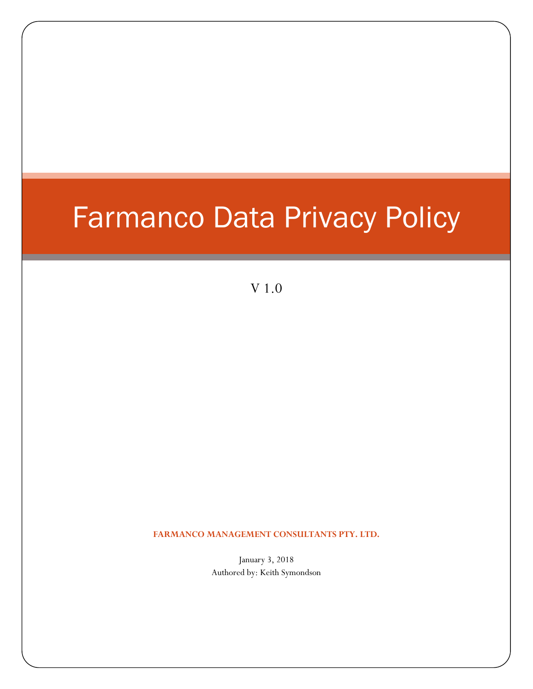# Farmanco Data Privacy Policy

V 1.0

**FARMANCO MANAGEMENT CONSULTANTS PTY. LTD.**

January 3, 2018 Authored by: Keith Symondson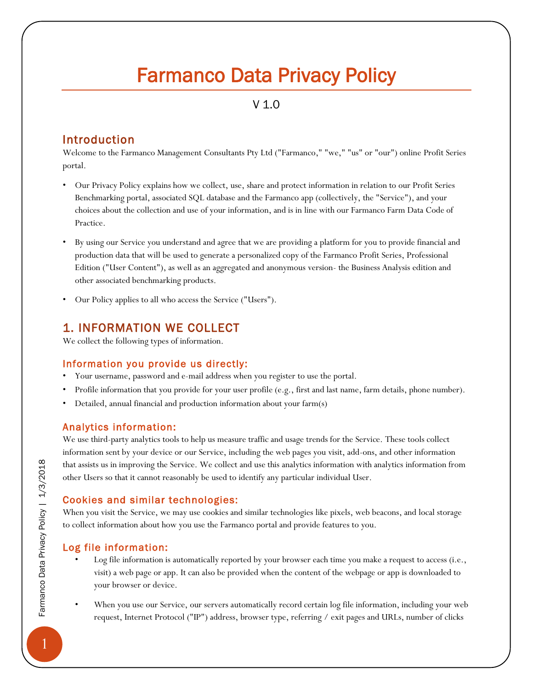# Farmanco Data Privacy Policy

# V 1.0

# Introduction

Welcome to the Farmanco Management Consultants Pty Ltd ("Farmanco," "we," "us" or "our") online Profit Series portal.

- Our Privacy Policy explains how we collect, use, share and protect information in relation to our Profit Series Benchmarking portal, associated SQL database and the Farmanco app (collectively, the "Service"), and your choices about the collection and use of your information, and is in line with our Farmanco Farm Data Code of Practice.
- By using our Service you understand and agree that we are providing a platform for you to provide financial and production data that will be used to generate a personalized copy of the Farmanco Profit Series, Professional Edition ("User Content"), as well as an aggregated and anonymous version- the Business Analysis edition and other associated benchmarking products.
- Our Policy applies to all who access the Service ("Users").

# 1. INFORMATION WE COLLECT

We collect the following types of information.

#### Information you provide us directly:

- Your username, password and e-mail address when you register to use the portal.
- Profile information that you provide for your user profile (e.g., first and last name, farm details, phone number).
- Detailed, annual financial and production information about your farm(s)

#### Analytics information:

We use third-party analytics tools to help us measure traffic and usage trends for the Service. These tools collect information sent by your device or our Service, including the web pages you visit, add-ons, and other information that assists us in improving the Service. We collect and use this analytics information with analytics information from other Users so that it cannot reasonably be used to identify any particular individual User.

#### Cookies and similar technologies:

When you visit the Service, we may use cookies and similar technologies like pixels, web beacons, and local storage to collect information about how you use the Farmanco portal and provide features to you.

#### Log file information:

- Log file information is automatically reported by your browser each time you make a request to access (i.e., visit) a web page or app. It can also be provided when the content of the webpage or app is downloaded to your browser or device.
- When you use our Service, our servers automatically record certain log file information, including your web request, Internet Protocol ("IP") address, browser type, referring / exit pages and URLs, number of clicks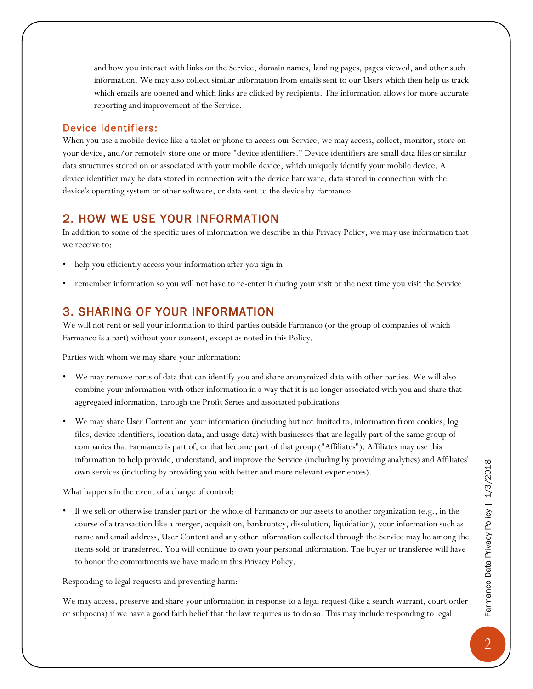and how you interact with links on the Service, domain names, landing pages, pages viewed, and other such information. We may also collect similar information from emails sent to our Users which then help us track which emails are opened and which links are clicked by recipients. The information allows for more accurate reporting and improvement of the Service.

#### Device identifiers:

When you use a mobile device like a tablet or phone to access our Service, we may access, collect, monitor, store on your device, and/or remotely store one or more "device identifiers." Device identifiers are small data files or similar data structures stored on or associated with your mobile device, which uniquely identify your mobile device. A device identifier may be data stored in connection with the device hardware, data stored in connection with the device's operating system or other software, or data sent to the device by Farmanco.

### 2. HOW WE USE YOUR INFORMATION

In addition to some of the specific uses of information we describe in this Privacy Policy, we may use information that we receive to:

- help you efficiently access your information after you sign in
- remember information so you will not have to re-enter it during your visit or the next time you visit the Service

## 3. SHARING OF YOUR INFORMATION

We will not rent or sell your information to third parties outside Farmanco (or the group of companies of which Farmanco is a part) without your consent, except as noted in this Policy.

Parties with whom we may share your information:

- We may remove parts of data that can identify you and share anonymized data with other parties. We will also combine your information with other information in a way that it is no longer associated with you and share that aggregated information, through the Profit Series and associated publications
- We may share User Content and your information (including but not limited to, information from cookies, log files, device identifiers, location data, and usage data) with businesses that are legally part of the same group of companies that Farmanco is part of, or that become part of that group ("Affiliates"). Affiliates may use this information to help provide, understand, and improve the Service (including by providing analytics) and Affiliates' own services (including by providing you with better and more relevant experiences).

What happens in the event of a change of control:

• If we sell or otherwise transfer part or the whole of Farmanco or our assets to another organization (e.g., in the course of a transaction like a merger, acquisition, bankruptcy, dissolution, liquidation), your information such as name and email address, User Content and any other information collected through the Service may be among the items sold or transferred. You will continue to own your personal information. The buyer or transferee will have to honor the commitments we have made in this Privacy Policy.

Responding to legal requests and preventing harm:

We may access, preserve and share your information in response to a legal request (like a search warrant, court order or subpoena) if we have a good faith belief that the law requires us to do so. This may include responding to legal